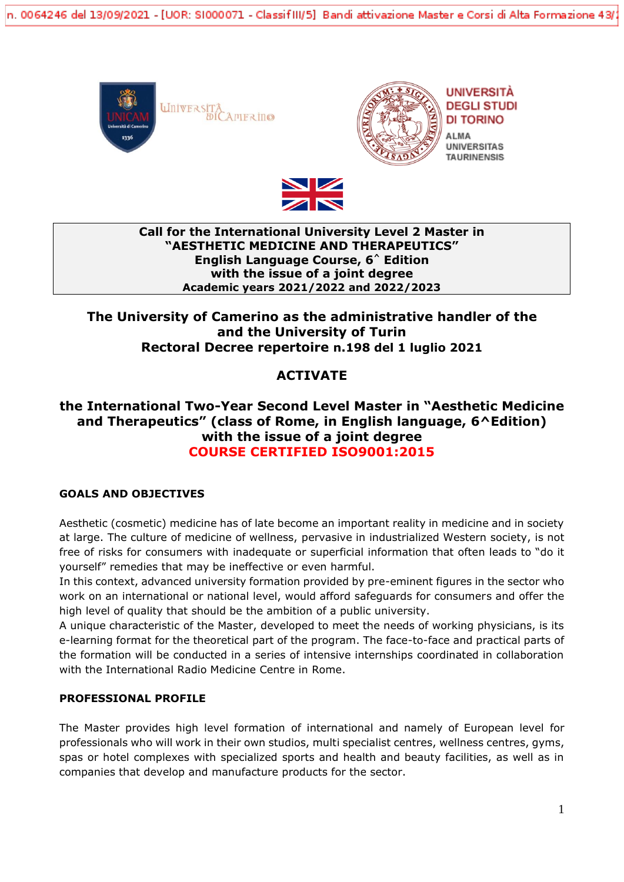n. 0064246 del 13/09/2021 - [UOR: SI000071 - ClassifIII/5] Bandi attivazione Master e Corsi di Alta Formazione 43/(







## **Call for the International University Level 2 Master in "AESTHETIC MEDICINE AND THERAPEUTICS" English Language Course, 6^ Edition with the issue of a joint degree Academic years 2021/2022 and 2022/2023**

## **The University of Camerino as the administrative handler of the and the University of Turin Rectoral Decree repertoire n.198 del 1 luglio 2021**

# **ACTIVATE**

## **the International Two-Year Second Level Master in "Aesthetic Medicine and Therapeutics" (class of Rome, in English language, 6^Edition) with the issue of a joint degree COURSE CERTIFIED ISO9001:2015**

## **GOALS AND OBJECTIVES**

Aesthetic (cosmetic) medicine has of late become an important reality in medicine and in society at large. The culture of medicine of wellness, pervasive in industrialized Western society, is not free of risks for consumers with inadequate or superficial information that often leads to "do it yourself" remedies that may be ineffective or even harmful.

In this context, advanced university formation provided by pre-eminent figures in the sector who work on an international or national level, would afford safeguards for consumers and offer the high level of quality that should be the ambition of a public university.

A unique characteristic of the Master, developed to meet the needs of working physicians, is its e-learning format for the theoretical part of the program. The face-to-face and practical parts of the formation will be conducted in a series of intensive internships coordinated in collaboration with the International Radio Medicine Centre in Rome.

## **PROFESSIONAL PROFILE**

The Master provides high level formation of international and namely of European level for professionals who will work in their own studios, multi specialist centres, wellness centres, gyms, spas or hotel complexes with specialized sports and health and beauty facilities, as well as in companies that develop and manufacture products for the sector.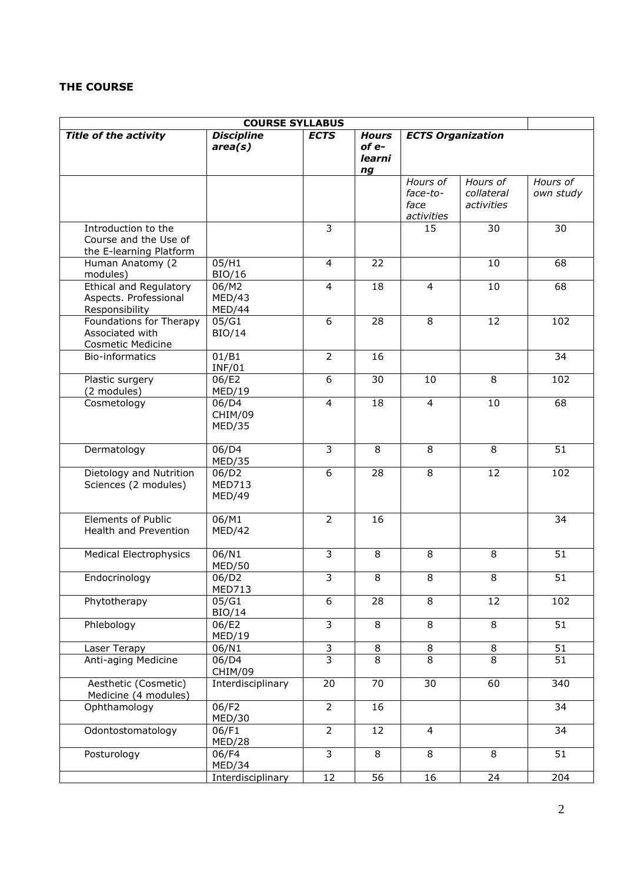## **THE COURSE**

| <b>COURSE SYLLABUS</b>                                                   |                                  |                |                                       |                                            |                                      |                       |
|--------------------------------------------------------------------------|----------------------------------|----------------|---------------------------------------|--------------------------------------------|--------------------------------------|-----------------------|
| <b>Title of the activity</b>                                             | <b>Discipline</b><br>area(s)     | <b>ECTS</b>    | <b>Hours</b><br>of e-<br>learni<br>ng | <b>ECTS Organization</b>                   |                                      |                       |
|                                                                          |                                  |                |                                       | Hours of<br>face-to-<br>face<br>activities | Hours of<br>collateral<br>activities | Hours of<br>own study |
| Introduction to the<br>Course and the Use of<br>the E-learning Platform  |                                  | 3              |                                       | 15                                         | 30                                   | 30                    |
| Human Anatomy (2<br>modules)                                             | 05/H1<br>BIO/16                  | $\overline{4}$ | 22                                    |                                            | 10                                   | 68                    |
| <b>Ethical and Regulatory</b><br>Aspects. Professional<br>Responsibility | 06/M2<br>MED/43<br>MED/44        | 4              | 18                                    | $\overline{4}$                             | 10                                   | 68                    |
| Foundations for Therapy<br>Associated with<br><b>Cosmetic Medicine</b>   | 05/G1<br><b>BIO/14</b>           | 6              | 28                                    | 8                                          | 12                                   | 102                   |
| Bio-informatics                                                          | 01/B1<br><b>INF/01</b>           | $\overline{2}$ | 16                                    |                                            |                                      | 34                    |
| Plastic surgery<br>(2 modules)                                           | 06/E2<br>MED/19                  | $\overline{6}$ | 30                                    | 10                                         | 8                                    | 102                   |
| Cosmetology                                                              | 06/D4<br>CHIM/09<br>MED/35       | $\overline{4}$ | 18                                    | $\overline{4}$                             | 10                                   | 68                    |
| Dermatology                                                              | 06/D4<br>MED/35                  | $\overline{3}$ | 8                                     | 8                                          | 8                                    | 51                    |
| Dietology and Nutrition<br>Sciences (2 modules)                          | 06/D2<br><b>MED713</b><br>MED/49 | 6              | 28                                    | 8                                          | 12                                   | 102                   |
| <b>Elements of Public</b><br>Health and Prevention                       | 06/M1<br>MED/42                  | $\overline{2}$ | 16                                    |                                            |                                      | 34                    |
| <b>Medical Electrophysics</b>                                            | 06/N1<br><b>MED/50</b>           | 3              | 8                                     | 8                                          | 8                                    | 51                    |
| Endocrinology                                                            | 06/D2<br><b>MED713</b>           | $\overline{3}$ | $\,8\,$                               | 8                                          | 8                                    | 51                    |
| Phytotherapy                                                             | 05/G1<br>BIO/14                  | 6              | 28                                    | 8                                          | 12                                   | 102                   |
| Phlebology                                                               | 06/E2<br>MED/19                  | $\overline{3}$ | 8                                     | $\overline{8}$                             | $\infty$                             | 51                    |
| Laser Terapy                                                             | 06/N1                            | $\overline{3}$ | $\,8\,$                               | $\overline{8}$                             | $\, 8$                               | $\overline{51}$       |
| Anti-aging Medicine                                                      | 06/D4<br>CHIM/09                 | $\overline{3}$ | 8                                     | 8                                          | 8                                    | 51                    |
| Aesthetic (Cosmetic)<br>Medicine (4 modules)                             | Interdisciplinary                | 20             | 70                                    | 30                                         | 60                                   | 340                   |
| Ophthamology                                                             | 06/F2<br>MED/30                  | $\overline{2}$ | 16                                    |                                            |                                      | 34                    |
| Odontostomatology                                                        | 06/F1<br>MED/28                  | $\overline{2}$ | 12                                    | $\overline{4}$                             |                                      | 34                    |
| Posturology                                                              | 06/F4<br>MED/34                  | $\overline{3}$ | 8                                     | 8                                          | 8                                    | 51                    |
|                                                                          | Interdisciplinary                | 12             | 56                                    | 16                                         | 24                                   | 204                   |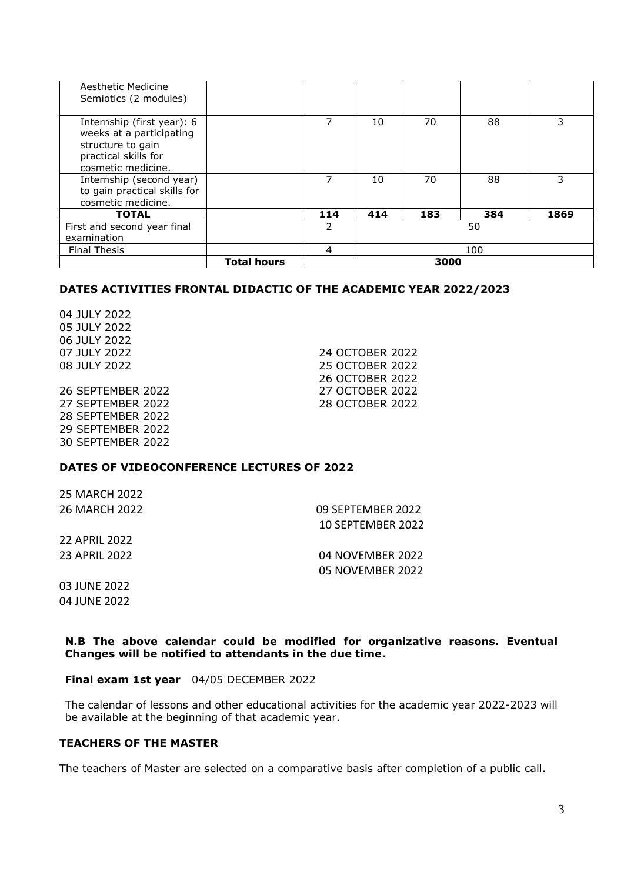| Aesthetic Medicine<br>Semiotics (2 modules)                                                                               |                    |               |     |     |     |      |
|---------------------------------------------------------------------------------------------------------------------------|--------------------|---------------|-----|-----|-----|------|
| Internship (first year): 6<br>weeks at a participating<br>structure to gain<br>practical skills for<br>cosmetic medicine. |                    | 7             | 10  | 70  | 88  | 3    |
| Internship (second year)<br>to gain practical skills for<br>cosmetic medicine.                                            |                    | 7             | 10  | 70  | 88  | 3    |
| <b>TOTAL</b>                                                                                                              |                    | 114           | 414 | 183 | 384 | 1869 |
| First and second year final<br>examination                                                                                |                    | $\mathcal{P}$ |     |     | 50  |      |
| <b>Final Thesis</b>                                                                                                       |                    | 4             |     |     | 100 |      |
|                                                                                                                           | <b>Total hours</b> | 3000          |     |     |     |      |

#### **DATES ACTIVITIES FRONTAL DIDACTIC OF THE ACADEMIC YEAR 2022/2023**

04 JULY 2022 05 JULY 2022 06 JULY 2022

26 SEPTEMBER 2022 27 OCTOBER 2022 27 SEPTEMBER 2022 28 OCTOBER 2022 28 SEPTEMBER 2022 29 SEPTEMBER 2022 30 SEPTEMBER 2022

07 JULY 2022 24 OCTOBER 2022 08 JULY 2022 25 OCTOBER 2022 26 OCTOBER 2022

#### **DATES OF VIDEOCONFERENCE LECTURES OF 2022**

25 MARCH 2022 26 MARCH 2022 09 SEPTEMBER 2022

10 SEPTEMBER 2022

22 APRIL 2022 23 APRIL 2022 04 NOVEMBER 2022

05 NOVEMBER 2022

03 JUNE 2022 04 JUNE 2022

**N.B The above calendar could be modified for organizative reasons. Eventual Changes will be notified to attendants in the due time.**

**Final exam 1st year** 04/05 DECEMBER 2022

The calendar of lessons and other educational activities for the academic year 2022-2023 will be available at the beginning of that academic year.

#### **TEACHERS OF THE MASTER**

The teachers of Master are selected on a comparative basis after completion of a public call.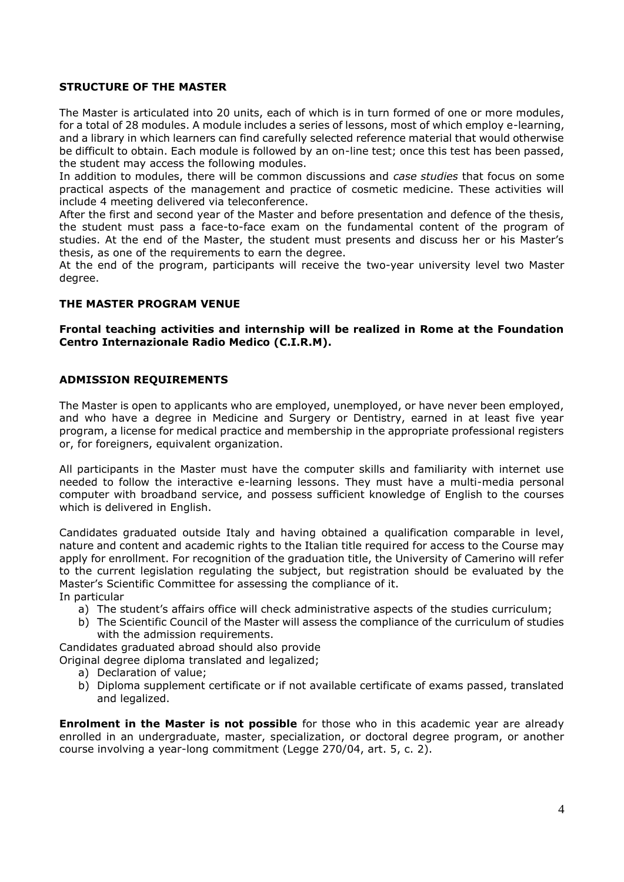### **STRUCTURE OF THE MASTER**

The Master is articulated into 20 units, each of which is in turn formed of one or more modules, for a total of 28 modules. A module includes a series of lessons, most of which employ e-learning, and a library in which learners can find carefully selected reference material that would otherwise be difficult to obtain. Each module is followed by an on-line test; once this test has been passed, the student may access the following modules.

In addition to modules, there will be common discussions and *case studies* that focus on some practical aspects of the management and practice of cosmetic medicine. These activities will include 4 meeting delivered via teleconference.

After the first and second year of the Master and before presentation and defence of the thesis, the student must pass a face-to-face exam on the fundamental content of the program of studies. At the end of the Master, the student must presents and discuss her or his Master's thesis, as one of the requirements to earn the degree.

At the end of the program, participants will receive the two-year university level two Master degree.

### **THE MASTER PROGRAM VENUE**

### **Frontal teaching activities and internship will be realized in Rome at the Foundation Centro Internazionale Radio Medico (C.I.R.M).**

#### **ADMISSION REQUIREMENTS**

The Master is open to applicants who are employed, unemployed, or have never been employed, and who have a degree in Medicine and Surgery or Dentistry, earned in at least five year program, a license for medical practice and membership in the appropriate professional registers or, for foreigners, equivalent organization.

All participants in the Master must have the computer skills and familiarity with internet use needed to follow the interactive e-learning lessons. They must have a multi-media personal computer with broadband service, and possess sufficient knowledge of English to the courses which is delivered in English.

Candidates graduated outside Italy and having obtained a qualification comparable in level, nature and content and academic rights to the Italian title required for access to the Course may apply for enrollment. For recognition of the graduation title, the University of Camerino will refer to the current legislation regulating the subject, but registration should be evaluated by the Master's Scientific Committee for assessing the compliance of it.

In particular

- a) The student's affairs office will check administrative aspects of the studies curriculum;
- b) The Scientific Council of the Master will assess the compliance of the curriculum of studies with the admission requirements.

Candidates graduated abroad should also provide

Original degree diploma translated and legalized;

- a) Declaration of value;
- b) Diploma supplement certificate or if not available certificate of exams passed, translated and legalized.

**Enrolment in the Master is not possible** for those who in this academic year are already enrolled in an undergraduate, master, specialization, or doctoral degree program, or another course involving a year-long commitment (Legge 270/04, art. 5, c. 2).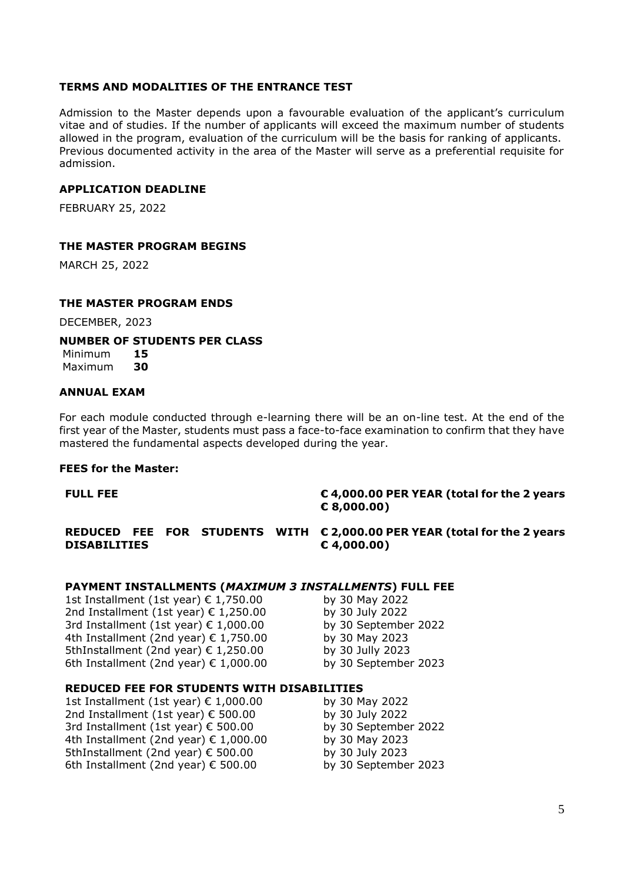### **TERMS AND MODALITIES OF THE ENTRANCE TEST**

Admission to the Master depends upon a favourable evaluation of the applicant's curriculum vitae and of studies. If the number of applicants will exceed the maximum number of students allowed in the program, evaluation of the curriculum will be the basis for ranking of applicants. Previous documented activity in the area of the Master will serve as a preferential requisite for admission.

#### **APPLICATION DEADLINE**

FEBRUARY 25, 2022

### **THE MASTER PROGRAM BEGINS**

MARCH 25, 2022

#### **THE MASTER PROGRAM ENDS**

DECEMBER, 2023

#### **NUMBER OF STUDENTS PER CLASS**

Minimum **15** Maximum **30**

#### **ANNUAL EXAM**

For each module conducted through e-learning there will be an on-line test. At the end of the first year of the Master, students must pass a face-to-face examination to confirm that they have mastered the fundamental aspects developed during the year.

#### **FEES for the Master:**

#### **FULL FEE € 4,000.00 PER YEAR (total for the 2 years € 8,000.00)**

**REDUCED FEE FOR STUDENTS WITH € 2,000.00 PER YEAR (total for the 2 years DISABILITIES € 4,000.00)** 

#### **PAYMENT INSTALLMENTS (***MAXIMUM 3 INSTALLMENTS***) FULL FEE**

1st Installment (1st year)  $€ 1,750.00$  by 30 May 2022 2nd Installment (1st year)  $€ 1,250.00$  by 30 July 2022 3rd Installment (1st year)  $\epsilon$  1,000.00 by 30 September 2022 4th Installment (2nd year)  $€ 1,750.00$  by 30 May 2023 5thInstallment (2nd year)  $€ 1,250.00$  by 30 Jully 2023 6th Installment (2nd year)  $\epsilon$  1,000.00 by 30 September 2023

#### **REDUCED FEE FOR STUDENTS WITH DISABILITIES**

1st Installment (1st year) € 1,000.00 by 30 May 2022 2nd Installment (1st year)  $€ 500.00$  by 30 July 2022 3rd Installment (1st year)  $€$  500.00 by 30 September 2022 4th Installment (2nd year)  $€ 1,000.00$  by 30 May 2023 5thInstallment (2nd year)  $€$  500.00 by 30 July 2023 6th Installment (2nd year)  $\epsilon$  500.00 by 30 September 2023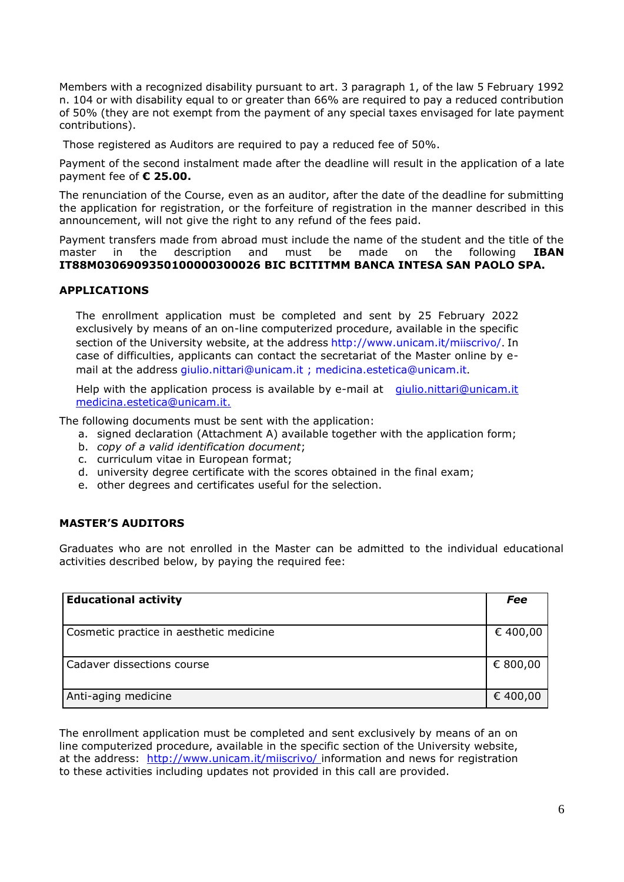Members with a recognized disability pursuant to art. 3 paragraph 1, of the law 5 February 1992 n. 104 or with disability equal to or greater than 66% are required to pay a reduced contribution of 50% (they are not exempt from the payment of any special taxes envisaged for late payment contributions).

Those registered as Auditors are required to pay a reduced fee of 50%.

Payment of the second instalment made after the deadline will result in the application of a late payment fee of **€ 25.00.**

The renunciation of the Course, even as an auditor, after the date of the deadline for submitting the application for registration, or the forfeiture of registration in the manner described in this announcement, will not give the right to any refund of the fees paid.

Payment transfers made from abroad must include the name of the student and the title of the master in the description and must be made on the following **IBAN IT88M0306909350100000300026 BIC BCITITMM BANCA INTESA SAN PAOLO SPA.**

#### **APPLICATIONS**

The enrollment application must be completed and sent by 25 February 2022 exclusively by means of an on-line computerized procedure, available in the specific section of the University website, at the address <http://www.unicam.it/miiscrivo/>. In case of difficulties, applicants can contact the secretariat of the Master online by email at the address [giulio.nittari@unicam.it ;](mailto:giulio.nittari@unicam.it) [medicina.estetica@unicam.it](mailto:medicina.estetica@unicam.it).

Help with the application process is available by e-mail at giulio.nittari@unicam.it [medicina.estetica@unicam.it.](mailto:medicina.estetica@unicam.it)

The following documents must be sent with the application:

- a. signed declaration (Attachment A) available together with the application form;
- b. *copy of a valid identification document*;
- c. curriculum vitae in European format;
- d. university degree certificate with the scores obtained in the final exam;
- e. other degrees and certificates useful for the selection.

#### **MASTER'S AUDITORS**

Graduates who are not enrolled in the Master can be admitted to the individual educational activities described below, by paying the required fee:

| <b>Educational activity</b>             | Fee      |
|-----------------------------------------|----------|
| Cosmetic practice in aesthetic medicine | € 400,00 |
| Cadaver dissections course              | € 800,00 |
| Anti-aging medicine                     | € 400,00 |

The enrollment application must be completed and sent exclusively by means of an on line computerized procedure, available in the specific section of the University website, at the address: [http://www.unicam.it/miiscrivo/](http://www.unicam.it/reginfo/iscrizionemaster) [i](http://www.unicam.it/reginfo/iscrizionemaster)nformation and news for registration to these activities including updates not provided in this call are provided.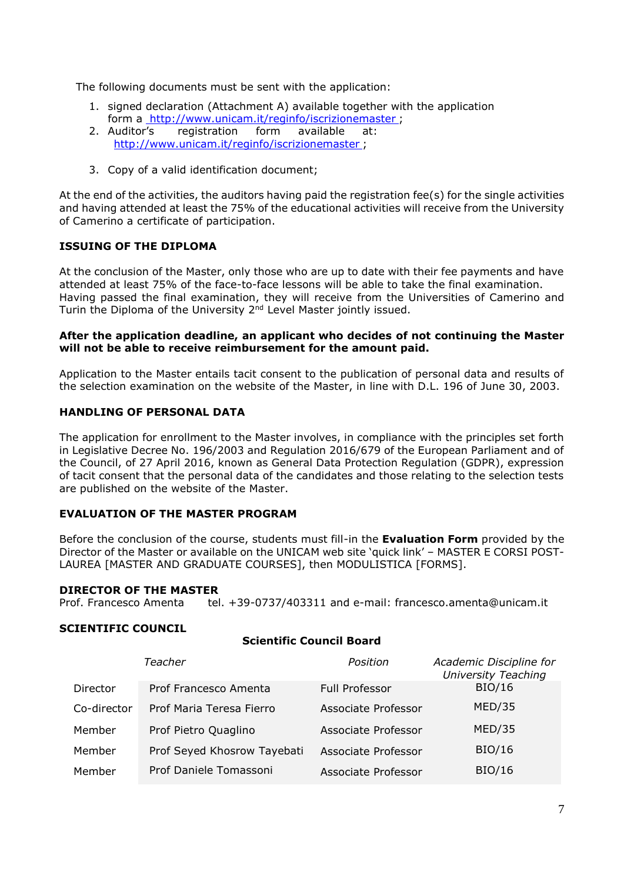The following documents must be sent with the application:

- 1. signed declaration (Attachment A) available together with the application form a<http://www.unicam.it/reginfo/iscrizionemaster> ;
- 2. Auditor's registration form available at: <http://www.unicam.it/reginfo/iscrizionemaster> ;
- 3. Copy of a valid identification document;

At the end of the activities, the auditors having paid the registration fee(s) for the single activities and having attended at least the 75% of the educational activities will receive from the University of Camerino a certificate of participation.

## **ISSUING OF THE DIPLOMA**

At the conclusion of the Master, only those who are up to date with their fee payments and have attended at least 75% of the face-to-face lessons will be able to take the final examination. Having passed the final examination, they will receive from the Universities of Camerino and Turin the Diploma of the University 2nd Level Master jointly issued.

#### **After the application deadline, an applicant who decides of not continuing the Master will not be able to receive reimbursement for the amount paid.**

Application to the Master entails tacit consent to the publication of personal data and results of the selection examination on the website of the Master, in line with D.L. 196 of June 30, 2003.

## **HANDLING OF PERSONAL DATA**

The application for enrollment to the Master involves, in compliance with the principles set forth in Legislative Decree No. 196/2003 and Regulation 2016/679 of the European Parliament and of the Council, of 27 April 2016, known as General Data Protection Regulation (GDPR), expression of tacit consent that the personal data of the candidates and those relating to the selection tests are published on the website of the Master.

## **EVALUATION OF THE MASTER PROGRAM**

Before the conclusion of the course, students must fill-in the **Evaluation Form** provided by the Director of the Master or available on the UNICAM web site 'quick link' – MASTER E CORSI POST-LAUREA [MASTER AND GRADUATE COURSES], then MODULISTICA [FORMS].

#### **DIRECTOR OF THE MASTER**

Prof. Francesco Amenta tel. +39-0737/403311 and e-mail: francesco.amenta@unicam.it

**Scientific Council Board**

#### **SCIENTIFIC COUNCIL**

| Belehthic Gounch Bound |                             |                       |                                                       |  |  |  |
|------------------------|-----------------------------|-----------------------|-------------------------------------------------------|--|--|--|
|                        | Teacher                     | Position              | Academic Discipline for<br><b>University Teaching</b> |  |  |  |
| Director               | Prof Francesco Amenta       | <b>Full Professor</b> | <b>BIO/16</b>                                         |  |  |  |
| Co-director            | Prof Maria Teresa Fierro    | Associate Professor   | MED/35                                                |  |  |  |
| Member                 | Prof Pietro Quaglino        | Associate Professor   | MED/35                                                |  |  |  |
| Member                 | Prof Seyed Khosrow Tayebati | Associate Professor   | BIO/16                                                |  |  |  |
| Member                 | Prof Daniele Tomassoni      | Associate Professor   | BIO/16                                                |  |  |  |